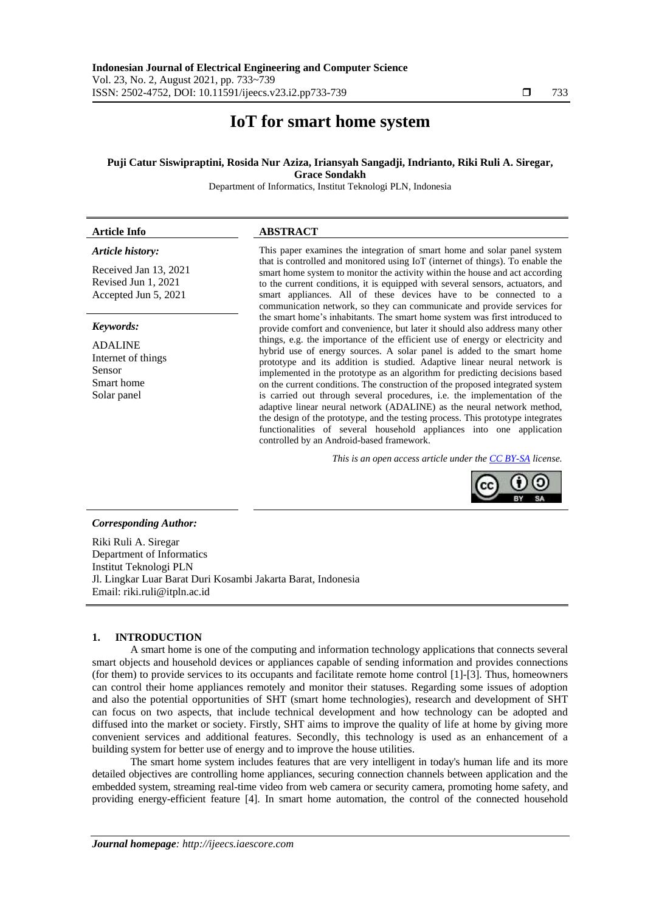# **IoT for smart home system**

### **Puji Catur Siswipraptini, Rosida Nur Aziza, Iriansyah Sangadji, Indrianto, Riki Ruli A. Siregar, Grace Sondakh**

Department of Informatics, Institut Teknologi PLN, Indonesia

| <b>Article Info</b>                                                                                                                                                                  | <b>ABSTRACT</b>                                                                                                                                                                                                                                                                                                                                                                                                                                                                                                                                                                                                                                                                                                                                                    |
|--------------------------------------------------------------------------------------------------------------------------------------------------------------------------------------|--------------------------------------------------------------------------------------------------------------------------------------------------------------------------------------------------------------------------------------------------------------------------------------------------------------------------------------------------------------------------------------------------------------------------------------------------------------------------------------------------------------------------------------------------------------------------------------------------------------------------------------------------------------------------------------------------------------------------------------------------------------------|
| Article history:<br>Received Jan 13, 2021<br>Revised Jun 1, 2021<br>Accepted Jun 5, 2021<br>Keywords:<br><b>ADALINE</b><br>Internet of things<br>Sensor<br>Smart home<br>Solar panel | This paper examines the integration of smart home and solar panel system<br>that is controlled and monitored using IoT (internet of things). To enable the<br>smart home system to monitor the activity within the house and act according<br>to the current conditions, it is equipped with several sensors, actuators, and<br>smart appliances. All of these devices have to be connected to a<br>communication network, so they can communicate and provide services for                                                                                                                                                                                                                                                                                        |
|                                                                                                                                                                                      | the smart home's inhabitants. The smart home system was first introduced to<br>provide comfort and convenience, but later it should also address many other                                                                                                                                                                                                                                                                                                                                                                                                                                                                                                                                                                                                        |
|                                                                                                                                                                                      | things, e.g. the importance of the efficient use of energy or electricity and<br>hybrid use of energy sources. A solar panel is added to the smart home<br>prototype and its addition is studied. Adaptive linear neural network is<br>implemented in the prototype as an algorithm for predicting decisions based<br>on the current conditions. The construction of the proposed integrated system<br>is carried out through several procedures, i.e. the implementation of the<br>adaptive linear neural network (ADALINE) as the neural network method,<br>the design of the prototype, and the testing process. This prototype integrates<br>functionalities of several household appliances into one application<br>controlled by an Android-based framework. |
|                                                                                                                                                                                      | This is an open access article under the <b>CC BY-SA</b> license.                                                                                                                                                                                                                                                                                                                                                                                                                                                                                                                                                                                                                                                                                                  |
|                                                                                                                                                                                      |                                                                                                                                                                                                                                                                                                                                                                                                                                                                                                                                                                                                                                                                                                                                                                    |

### *Corresponding Author:*

Riki Ruli A. Siregar Department of Informatics Institut Teknologi PLN Jl. Lingkar Luar Barat Duri Kosambi Jakarta Barat, Indonesia Email: riki.ruli@itpln.ac.id

#### **1. INTRODUCTION**

A smart home is one of the computing and information technology applications that connects several smart objects and household devices or appliances capable of sending information and provides connections (for them) to provide services to its occupants and facilitate remote home control [1]-[3]. Thus, homeowners can control their home appliances remotely and monitor their statuses. Regarding some issues of adoption and also the potential opportunities of SHT (smart home technologies), research and development of SHT can focus on two aspects, that include technical development and how technology can be adopted and diffused into the market or society. Firstly, SHT aims to improve the quality of life at home by giving more convenient services and additional features. Secondly, this technology is used as an enhancement of a building system for better use of energy and to improve the house utilities.

The smart home system includes features that are very intelligent in today's human life and its more detailed objectives are controlling home appliances, securing connection channels between application and the embedded system, streaming real-time video from web camera or security camera, promoting home safety, and providing energy-efficient feature [4]. In smart home automation, the control of the connected household

BY SA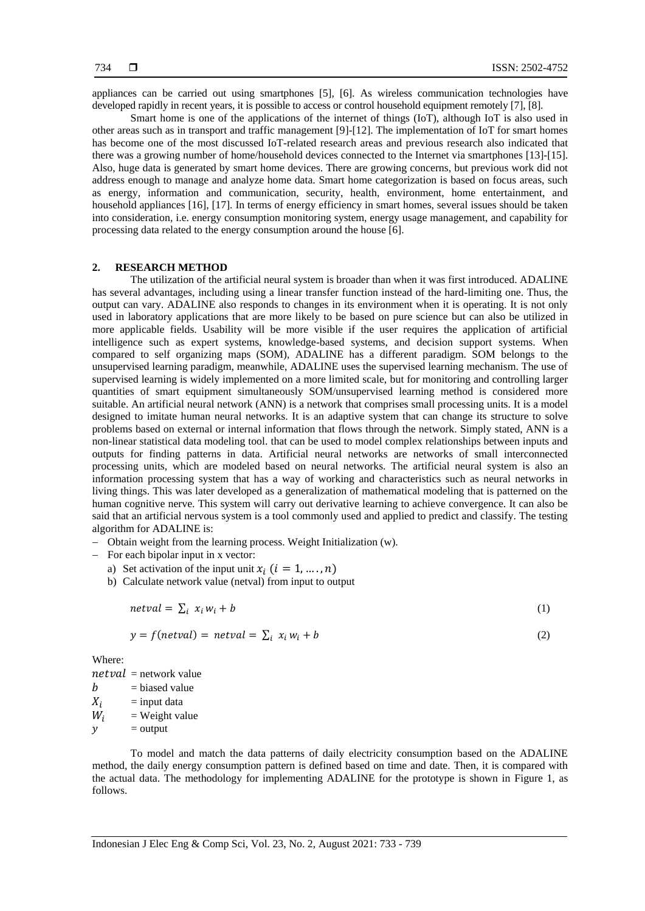appliances can be carried out using smartphones [5], [6]. As wireless communication technologies have developed rapidly in recent years, it is possible to access or control household equipment remotely [7], [8].

Smart home is one of the applications of the internet of things (IoT), although IoT is also used in other areas such as in transport and traffic management [9]-[12]. The implementation of IoT for smart homes has become one of the most discussed IoT-related research areas and previous research also indicated that there was a growing number of home/household devices connected to the Internet via smartphones [13]-[15]. Also, huge data is generated by smart home devices. There are growing concerns, but previous work did not address enough to manage and analyze home data. Smart home categorization is based on focus areas, such as energy, information and communication, security, health, environment, home entertainment, and household appliances [16], [17]. In terms of energy efficiency in smart homes, several issues should be taken into consideration, i.e. energy consumption monitoring system, energy usage management, and capability for processing data related to the energy consumption around the house [6].

# **2. RESEARCH METHOD**

The utilization of the artificial neural system is broader than when it was first introduced. ADALINE has several advantages, including using a linear transfer function instead of the hard-limiting one. Thus, the output can vary. ADALINE also responds to changes in its environment when it is operating. It is not only used in laboratory applications that are more likely to be based on pure science but can also be utilized in more applicable fields. Usability will be more visible if the user requires the application of artificial intelligence such as expert systems, knowledge-based systems, and decision support systems. When compared to self organizing maps (SOM), ADALINE has a different paradigm. SOM belongs to the unsupervised learning paradigm, meanwhile, ADALINE uses the supervised learning mechanism. The use of supervised learning is widely implemented on a more limited scale, but for monitoring and controlling larger quantities of smart equipment simultaneously SOM/unsupervised learning method is considered more suitable. An artificial neural network (ANN) is a network that comprises small processing units. It is a model designed to imitate human neural networks. It is an adaptive system that can change its structure to solve problems based on external or internal information that flows through the network. Simply stated, ANN is a non-linear statistical data modeling tool. that can be used to model complex relationships between inputs and outputs for finding patterns in data. Artificial neural networks are networks of small interconnected processing units, which are modeled based on neural networks. The artificial neural system is also an information processing system that has a way of working and characteristics such as neural networks in living things. This was later developed as a generalization of mathematical modeling that is patterned on the human cognitive nerve. This system will carry out derivative learning to achieve convergence. It can also be said that an artificial nervous system is a tool commonly used and applied to predict and classify. The testing algorithm for ADALINE is:

- Obtain weight from the learning process. Weight Initialization (w).
- $-$  For each bipolar input in x vector:
	- a) Set activation of the input unit  $x_i$   $(i = 1, ..., n)$
	- b) Calculate network value (netval) from input to output

$$
netval = \sum_{i} x_i w_i + b \tag{1}
$$

$$
y = f(netval) = netval = \sum_{i} x_i w_i + b \tag{2}
$$

Where:

 $netval =$ network value

 $b = b$ iased value  $X_i$  = input data

- $W_i$  = Weight value
- $y =$  output

To model and match the data patterns of daily electricity consumption based on the ADALINE method, the daily energy consumption pattern is defined based on time and date. Then, it is compared with the actual data. The methodology for implementing ADALINE for the prototype is shown in Figure 1, as follows.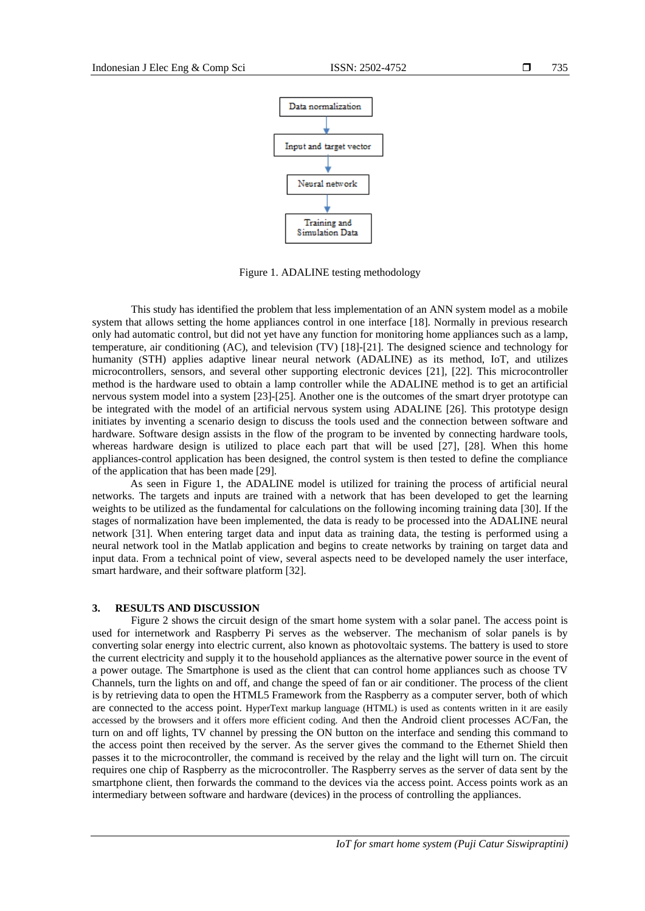

Figure 1. ADALINE testing methodology

This study has identified the problem that less implementation of an ANN system model as a mobile system that allows setting the home appliances control in one interface [18]. Normally in previous research only had automatic control, but did not yet have any function for monitoring home appliances such as a lamp, temperature, air conditioning (AC), and television (TV) [18]-[21]. The designed science and technology for humanity (STH) applies adaptive linear neural network (ADALINE) as its method, IoT, and utilizes microcontrollers, sensors, and several other supporting electronic devices [21], [22]. This microcontroller method is the hardware used to obtain a lamp controller while the ADALINE method is to get an artificial nervous system model into a system [23]-[25]. Another one is the outcomes of the smart dryer prototype can be integrated with the model of an artificial nervous system using ADALINE [26]. This prototype design initiates by inventing a scenario design to discuss the tools used and the connection between software and hardware. Software design assists in the flow of the program to be invented by connecting hardware tools, whereas hardware design is utilized to place each part that will be used [27], [28]. When this home appliances-control application has been designed, the control system is then tested to define the compliance of the application that has been made [29].

As seen in Figure 1, the ADALINE model is utilized for training the process of artificial neural networks. The targets and inputs are trained with a network that has been developed to get the learning weights to be utilized as the fundamental for calculations on the following incoming training data [30]. If the stages of normalization have been implemented, the data is ready to be processed into the ADALINE neural network [31]. When entering target data and input data as training data, the testing is performed using a neural network tool in the Matlab application and begins to create networks by training on target data and input data. From a technical point of view, several aspects need to be developed namely the user interface, smart hardware, and their software platform [32].

## **3. RESULTS AND DISCUSSION**

Figure 2 shows the circuit design of the smart home system with a solar panel. The access point is used for internetwork and Raspberry Pi serves as the webserver. The mechanism of solar panels is by converting solar energy into electric current, also known as photovoltaic systems. The battery is used to store the current electricity and supply it to the household appliances as the alternative power source in the event of a power outage. The Smartphone is used as the client that can control home appliances such as choose TV Channels, turn the lights on and off, and change the speed of fan or air conditioner. The process of the client is by retrieving data to open the HTML5 Framework from the Raspberry as a computer server, both of which are connected to the access point. HyperText markup language (HTML) is used as contents written in it are easily accessed by the browsers and it offers more efficient coding. And then the Android client processes AC/Fan, the turn on and off lights, TV channel by pressing the ON button on the interface and sending this command to the access point then received by the server. As the server gives the command to the Ethernet Shield then passes it to the microcontroller, the command is received by the relay and the light will turn on. The circuit requires one chip of Raspberry as the microcontroller. The Raspberry serves as the server of data sent by the smartphone client, then forwards the command to the devices via the access point. Access points work as an intermediary between software and hardware (devices) in the process of controlling the appliances.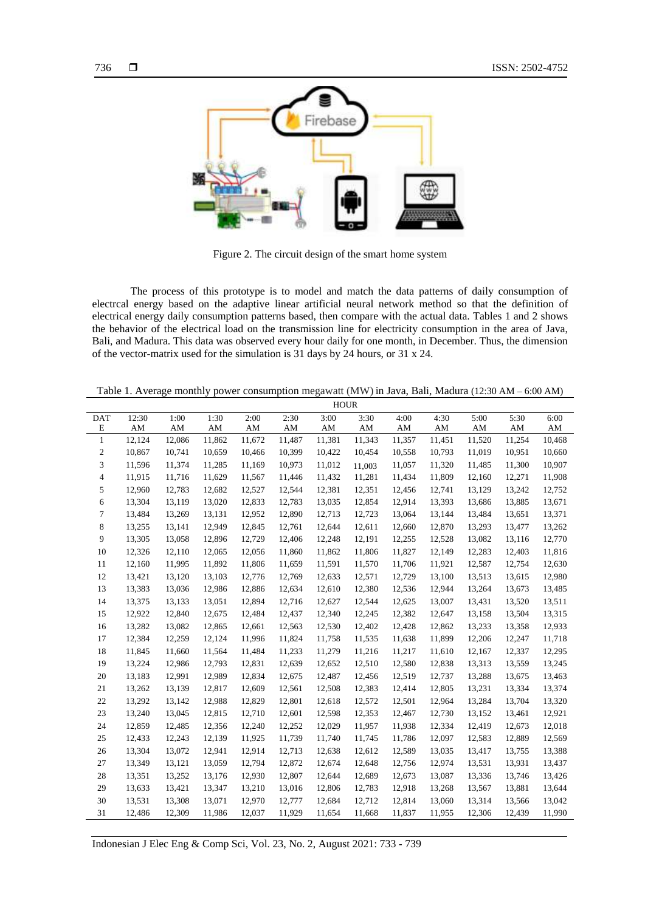

Figure 2. The circuit design of the smart home system

The process of this prototype is to model and match the data patterns of daily consumption of electrcal energy based on the adaptive linear artificial neural network method so that the definition of electrical energy daily consumption patterns based, then compare with the actual data. Tables 1 and 2 shows the behavior of the electrical load on the transmission line for electricity consumption in the area of Java, Bali, and Madura. This data was observed every hour daily for one month, in December. Thus, the dimension of the vector-matrix used for the simulation is 31 days by 24 hours, or 31 x 24.

Table 1. Average monthly power consumption megawatt (MW) in Java, Bali, Madura (12:30 AM – 6:00 AM)

| 12:30<br>1:30<br>2:30<br>3:00<br>4:30<br>5:00<br>5:30<br><b>DAT</b><br>1:00<br>2:00<br>3:30<br>4:00<br>6:00<br>Ε<br>AM<br>AM<br>AM<br>AM<br>AM<br>AM<br>AM<br>AM<br>AM<br>AM<br>AM<br>AM<br>$\mathbf{1}$<br>12,124<br>11,862<br>11,672<br>11,254<br>12,086<br>11,487<br>11,381<br>11,343<br>11,357<br>11,451<br>11,520<br>10,468<br>10,867<br>2<br>10,741<br>10,659<br>10,466<br>10,399<br>10,422<br>10,454<br>10,558<br>10,793<br>11,019<br>10,951<br>10,660<br>10,907<br>3<br>11,596<br>11,374<br>11,285<br>11,169<br>10,973<br>11,057<br>11,320<br>11,300<br>11,012<br>11,485<br>11,003<br>4<br>11,915<br>11,716<br>11,629<br>11,567<br>11,446<br>11,281<br>11,434<br>11,809<br>12,271<br>11,908<br>11,432<br>12,160<br>12,682<br>13,242<br>5<br>12,960<br>12,783<br>12,527<br>12,544<br>12,381<br>12,351<br>12,741<br>13,129<br>12,752<br>12,456<br>6<br>13,304<br>13,119<br>13,020<br>12,833<br>12,783<br>13,393<br>13,885<br>13,671<br>13,035<br>12,854<br>12,914<br>13,686<br>7<br>13,484<br>13,269<br>13,131<br>12,952<br>12,890<br>12,713<br>13,064<br>13,144<br>13,484<br>13,371<br>12,723<br>13,651<br>8<br>12,949<br>12,845<br>13,262<br>13,255<br>13,141<br>12,761<br>12,644<br>12,611<br>12,660<br>12,870<br>13,293<br>13,477<br>9<br>13,305<br>12,896<br>12,729<br>12,406<br>13,082<br>12,770<br>13,058<br>12,248<br>12,191<br>12,255<br>12,528<br>13,116<br>12,065<br>11,816<br>10<br>12,326<br>12,110<br>12,056<br>11,860<br>11,862<br>11,806<br>11,827<br>12,149<br>12,283<br>12,403<br>12,160<br>11,995<br>11,892<br>11,806<br>12,630<br>11<br>11,659<br>11,591<br>11,570<br>11,706<br>11,921<br>12,587<br>12,754<br>13,421<br>13,120<br>13,103<br>12,776<br>13,513<br>12,980<br>12<br>12,769<br>12,633<br>12,571<br>12,729<br>13,100<br>13,615<br>13,485<br>13<br>13,383<br>13,036<br>12,986<br>12,886<br>12,634<br>12,610<br>12,380<br>12,536<br>12,944<br>13,264<br>13,673<br>12,894<br>13,511<br>14<br>13,375<br>13,133<br>13,051<br>12,716<br>12,627<br>12,544<br>12,625<br>13,007<br>13,431<br>13,520<br>15<br>12,922<br>12,840<br>12,675<br>12,484<br>12,437<br>13,158<br>13,504<br>13,315<br>12,340<br>12,245<br>12,382<br>12,647<br>13,282<br>13,082<br>12,865<br>12,661<br>12,563<br>12,530<br>12,402<br>12,428<br>12,862<br>13,233<br>13,358<br>12,933<br>16<br>12,384<br>12,259<br>12,124<br>11,996<br>11,824<br>11,899<br>11,718<br>17<br>11,758<br>11,535<br>11,638<br>12,206<br>12,247<br>18<br>11,845<br>11,660<br>11,564<br>11,484<br>11,233<br>11,610<br>12,337<br>12,295<br>11,279<br>11,216<br>11,217<br>12,167<br>13,224<br>13,245<br>19<br>12,986<br>12,793<br>12,831<br>12,639<br>12,510<br>12,580<br>12,838<br>13,313<br>13,559<br>12,652<br>13,183<br>12,991<br>12,989<br>12,834<br>12,675<br>12,519<br>12,737<br>13,288<br>13,675<br>13,463<br>20<br>12,487<br>12,456<br>21<br>13,262<br>13,139<br>12,817<br>12,609<br>12,561<br>12,508<br>12,805<br>13,231<br>13,334<br>13,374<br>12,383<br>12,414<br>12,988<br>12,829<br>13,320<br>22<br>13,292<br>13,142<br>12,801<br>12,618<br>12,572<br>12,501<br>12,964<br>13,284<br>13,704<br>12,815<br>12,710<br>12,921<br>23<br>13,240<br>13,045<br>12,601<br>12,598<br>12,353<br>12,467<br>12,730<br>13,152<br>13,461<br>12,018<br>12,859<br>12,485<br>12,356<br>12,240<br>12,029<br>12,334<br>12,419<br>12,673<br>24<br>12,252<br>11,957<br>11,938<br>12,243<br>11,925<br>12,569<br>25<br>12,433<br>12,139<br>11,739<br>11,740<br>11,745<br>11,786<br>12,097<br>12,583<br>12,889<br>13,304<br>13,072<br>12,941<br>12,914<br>13,388<br>26<br>12,713<br>12,638<br>12,612<br>12,589<br>13,035<br>13,417<br>13,755<br>27<br>13,349<br>13,121<br>13,059<br>12,794<br>12,872<br>12,756<br>12,974<br>13,531<br>13,931<br>13,437<br>12,674<br>12,648<br>13,426<br>28<br>13,351<br>13,252<br>13,176<br>12,930<br>12,807<br>12,644<br>12,689<br>12,673<br>13,087<br>13,336<br>13,746<br>13,633<br>13,421<br>13,347<br>13,210<br>13,016<br>13,881<br>13,644<br>29<br>12,806<br>12,783<br>12,918<br>13,268<br>13,567<br>13,042<br>30<br>13,531<br>13,308<br>13,071<br>12,970<br>12,777<br>12,712<br>12,814<br>13,060<br>13,314<br>12,684<br>13,566<br>12,309<br>12,037<br>31<br>12,486<br>11,986<br>11,929<br>11,837<br>12,306<br>12,439<br>11,990<br>11,654<br>11,668<br>11,955 | <b>HOUR</b> |  |  |  |  |  |  |  |  |  |  |
|--------------------------------------------------------------------------------------------------------------------------------------------------------------------------------------------------------------------------------------------------------------------------------------------------------------------------------------------------------------------------------------------------------------------------------------------------------------------------------------------------------------------------------------------------------------------------------------------------------------------------------------------------------------------------------------------------------------------------------------------------------------------------------------------------------------------------------------------------------------------------------------------------------------------------------------------------------------------------------------------------------------------------------------------------------------------------------------------------------------------------------------------------------------------------------------------------------------------------------------------------------------------------------------------------------------------------------------------------------------------------------------------------------------------------------------------------------------------------------------------------------------------------------------------------------------------------------------------------------------------------------------------------------------------------------------------------------------------------------------------------------------------------------------------------------------------------------------------------------------------------------------------------------------------------------------------------------------------------------------------------------------------------------------------------------------------------------------------------------------------------------------------------------------------------------------------------------------------------------------------------------------------------------------------------------------------------------------------------------------------------------------------------------------------------------------------------------------------------------------------------------------------------------------------------------------------------------------------------------------------------------------------------------------------------------------------------------------------------------------------------------------------------------------------------------------------------------------------------------------------------------------------------------------------------------------------------------------------------------------------------------------------------------------------------------------------------------------------------------------------------------------------------------------------------------------------------------------------------------------------------------------------------------------------------------------------------------------------------------------------------------------------------------------------------------------------------------------------------------------------------------------------------------------------------------------------------------------------------------------------------------------------------------------------------------------------------------------------------------------------------------------------------------------------------------------------------------------------------------------------------------------------------------------------------------------------------------------------------------------------------------------------------------------------------------------------------------------------------------------------------------------------------------------------------------------------------------------------------------------------------------------|-------------|--|--|--|--|--|--|--|--|--|--|
|                                                                                                                                                                                                                                                                                                                                                                                                                                                                                                                                                                                                                                                                                                                                                                                                                                                                                                                                                                                                                                                                                                                                                                                                                                                                                                                                                                                                                                                                                                                                                                                                                                                                                                                                                                                                                                                                                                                                                                                                                                                                                                                                                                                                                                                                                                                                                                                                                                                                                                                                                                                                                                                                                                                                                                                                                                                                                                                                                                                                                                                                                                                                                                                                                                                                                                                                                                                                                                                                                                                                                                                                                                                                                                                                                                                                                                                                                                                                                                                                                                                                                                                                                                                                                                                              |             |  |  |  |  |  |  |  |  |  |  |
|                                                                                                                                                                                                                                                                                                                                                                                                                                                                                                                                                                                                                                                                                                                                                                                                                                                                                                                                                                                                                                                                                                                                                                                                                                                                                                                                                                                                                                                                                                                                                                                                                                                                                                                                                                                                                                                                                                                                                                                                                                                                                                                                                                                                                                                                                                                                                                                                                                                                                                                                                                                                                                                                                                                                                                                                                                                                                                                                                                                                                                                                                                                                                                                                                                                                                                                                                                                                                                                                                                                                                                                                                                                                                                                                                                                                                                                                                                                                                                                                                                                                                                                                                                                                                                                              |             |  |  |  |  |  |  |  |  |  |  |
|                                                                                                                                                                                                                                                                                                                                                                                                                                                                                                                                                                                                                                                                                                                                                                                                                                                                                                                                                                                                                                                                                                                                                                                                                                                                                                                                                                                                                                                                                                                                                                                                                                                                                                                                                                                                                                                                                                                                                                                                                                                                                                                                                                                                                                                                                                                                                                                                                                                                                                                                                                                                                                                                                                                                                                                                                                                                                                                                                                                                                                                                                                                                                                                                                                                                                                                                                                                                                                                                                                                                                                                                                                                                                                                                                                                                                                                                                                                                                                                                                                                                                                                                                                                                                                                              |             |  |  |  |  |  |  |  |  |  |  |
|                                                                                                                                                                                                                                                                                                                                                                                                                                                                                                                                                                                                                                                                                                                                                                                                                                                                                                                                                                                                                                                                                                                                                                                                                                                                                                                                                                                                                                                                                                                                                                                                                                                                                                                                                                                                                                                                                                                                                                                                                                                                                                                                                                                                                                                                                                                                                                                                                                                                                                                                                                                                                                                                                                                                                                                                                                                                                                                                                                                                                                                                                                                                                                                                                                                                                                                                                                                                                                                                                                                                                                                                                                                                                                                                                                                                                                                                                                                                                                                                                                                                                                                                                                                                                                                              |             |  |  |  |  |  |  |  |  |  |  |
|                                                                                                                                                                                                                                                                                                                                                                                                                                                                                                                                                                                                                                                                                                                                                                                                                                                                                                                                                                                                                                                                                                                                                                                                                                                                                                                                                                                                                                                                                                                                                                                                                                                                                                                                                                                                                                                                                                                                                                                                                                                                                                                                                                                                                                                                                                                                                                                                                                                                                                                                                                                                                                                                                                                                                                                                                                                                                                                                                                                                                                                                                                                                                                                                                                                                                                                                                                                                                                                                                                                                                                                                                                                                                                                                                                                                                                                                                                                                                                                                                                                                                                                                                                                                                                                              |             |  |  |  |  |  |  |  |  |  |  |
|                                                                                                                                                                                                                                                                                                                                                                                                                                                                                                                                                                                                                                                                                                                                                                                                                                                                                                                                                                                                                                                                                                                                                                                                                                                                                                                                                                                                                                                                                                                                                                                                                                                                                                                                                                                                                                                                                                                                                                                                                                                                                                                                                                                                                                                                                                                                                                                                                                                                                                                                                                                                                                                                                                                                                                                                                                                                                                                                                                                                                                                                                                                                                                                                                                                                                                                                                                                                                                                                                                                                                                                                                                                                                                                                                                                                                                                                                                                                                                                                                                                                                                                                                                                                                                                              |             |  |  |  |  |  |  |  |  |  |  |
|                                                                                                                                                                                                                                                                                                                                                                                                                                                                                                                                                                                                                                                                                                                                                                                                                                                                                                                                                                                                                                                                                                                                                                                                                                                                                                                                                                                                                                                                                                                                                                                                                                                                                                                                                                                                                                                                                                                                                                                                                                                                                                                                                                                                                                                                                                                                                                                                                                                                                                                                                                                                                                                                                                                                                                                                                                                                                                                                                                                                                                                                                                                                                                                                                                                                                                                                                                                                                                                                                                                                                                                                                                                                                                                                                                                                                                                                                                                                                                                                                                                                                                                                                                                                                                                              |             |  |  |  |  |  |  |  |  |  |  |
|                                                                                                                                                                                                                                                                                                                                                                                                                                                                                                                                                                                                                                                                                                                                                                                                                                                                                                                                                                                                                                                                                                                                                                                                                                                                                                                                                                                                                                                                                                                                                                                                                                                                                                                                                                                                                                                                                                                                                                                                                                                                                                                                                                                                                                                                                                                                                                                                                                                                                                                                                                                                                                                                                                                                                                                                                                                                                                                                                                                                                                                                                                                                                                                                                                                                                                                                                                                                                                                                                                                                                                                                                                                                                                                                                                                                                                                                                                                                                                                                                                                                                                                                                                                                                                                              |             |  |  |  |  |  |  |  |  |  |  |
|                                                                                                                                                                                                                                                                                                                                                                                                                                                                                                                                                                                                                                                                                                                                                                                                                                                                                                                                                                                                                                                                                                                                                                                                                                                                                                                                                                                                                                                                                                                                                                                                                                                                                                                                                                                                                                                                                                                                                                                                                                                                                                                                                                                                                                                                                                                                                                                                                                                                                                                                                                                                                                                                                                                                                                                                                                                                                                                                                                                                                                                                                                                                                                                                                                                                                                                                                                                                                                                                                                                                                                                                                                                                                                                                                                                                                                                                                                                                                                                                                                                                                                                                                                                                                                                              |             |  |  |  |  |  |  |  |  |  |  |
|                                                                                                                                                                                                                                                                                                                                                                                                                                                                                                                                                                                                                                                                                                                                                                                                                                                                                                                                                                                                                                                                                                                                                                                                                                                                                                                                                                                                                                                                                                                                                                                                                                                                                                                                                                                                                                                                                                                                                                                                                                                                                                                                                                                                                                                                                                                                                                                                                                                                                                                                                                                                                                                                                                                                                                                                                                                                                                                                                                                                                                                                                                                                                                                                                                                                                                                                                                                                                                                                                                                                                                                                                                                                                                                                                                                                                                                                                                                                                                                                                                                                                                                                                                                                                                                              |             |  |  |  |  |  |  |  |  |  |  |
|                                                                                                                                                                                                                                                                                                                                                                                                                                                                                                                                                                                                                                                                                                                                                                                                                                                                                                                                                                                                                                                                                                                                                                                                                                                                                                                                                                                                                                                                                                                                                                                                                                                                                                                                                                                                                                                                                                                                                                                                                                                                                                                                                                                                                                                                                                                                                                                                                                                                                                                                                                                                                                                                                                                                                                                                                                                                                                                                                                                                                                                                                                                                                                                                                                                                                                                                                                                                                                                                                                                                                                                                                                                                                                                                                                                                                                                                                                                                                                                                                                                                                                                                                                                                                                                              |             |  |  |  |  |  |  |  |  |  |  |
|                                                                                                                                                                                                                                                                                                                                                                                                                                                                                                                                                                                                                                                                                                                                                                                                                                                                                                                                                                                                                                                                                                                                                                                                                                                                                                                                                                                                                                                                                                                                                                                                                                                                                                                                                                                                                                                                                                                                                                                                                                                                                                                                                                                                                                                                                                                                                                                                                                                                                                                                                                                                                                                                                                                                                                                                                                                                                                                                                                                                                                                                                                                                                                                                                                                                                                                                                                                                                                                                                                                                                                                                                                                                                                                                                                                                                                                                                                                                                                                                                                                                                                                                                                                                                                                              |             |  |  |  |  |  |  |  |  |  |  |
|                                                                                                                                                                                                                                                                                                                                                                                                                                                                                                                                                                                                                                                                                                                                                                                                                                                                                                                                                                                                                                                                                                                                                                                                                                                                                                                                                                                                                                                                                                                                                                                                                                                                                                                                                                                                                                                                                                                                                                                                                                                                                                                                                                                                                                                                                                                                                                                                                                                                                                                                                                                                                                                                                                                                                                                                                                                                                                                                                                                                                                                                                                                                                                                                                                                                                                                                                                                                                                                                                                                                                                                                                                                                                                                                                                                                                                                                                                                                                                                                                                                                                                                                                                                                                                                              |             |  |  |  |  |  |  |  |  |  |  |
|                                                                                                                                                                                                                                                                                                                                                                                                                                                                                                                                                                                                                                                                                                                                                                                                                                                                                                                                                                                                                                                                                                                                                                                                                                                                                                                                                                                                                                                                                                                                                                                                                                                                                                                                                                                                                                                                                                                                                                                                                                                                                                                                                                                                                                                                                                                                                                                                                                                                                                                                                                                                                                                                                                                                                                                                                                                                                                                                                                                                                                                                                                                                                                                                                                                                                                                                                                                                                                                                                                                                                                                                                                                                                                                                                                                                                                                                                                                                                                                                                                                                                                                                                                                                                                                              |             |  |  |  |  |  |  |  |  |  |  |
|                                                                                                                                                                                                                                                                                                                                                                                                                                                                                                                                                                                                                                                                                                                                                                                                                                                                                                                                                                                                                                                                                                                                                                                                                                                                                                                                                                                                                                                                                                                                                                                                                                                                                                                                                                                                                                                                                                                                                                                                                                                                                                                                                                                                                                                                                                                                                                                                                                                                                                                                                                                                                                                                                                                                                                                                                                                                                                                                                                                                                                                                                                                                                                                                                                                                                                                                                                                                                                                                                                                                                                                                                                                                                                                                                                                                                                                                                                                                                                                                                                                                                                                                                                                                                                                              |             |  |  |  |  |  |  |  |  |  |  |
|                                                                                                                                                                                                                                                                                                                                                                                                                                                                                                                                                                                                                                                                                                                                                                                                                                                                                                                                                                                                                                                                                                                                                                                                                                                                                                                                                                                                                                                                                                                                                                                                                                                                                                                                                                                                                                                                                                                                                                                                                                                                                                                                                                                                                                                                                                                                                                                                                                                                                                                                                                                                                                                                                                                                                                                                                                                                                                                                                                                                                                                                                                                                                                                                                                                                                                                                                                                                                                                                                                                                                                                                                                                                                                                                                                                                                                                                                                                                                                                                                                                                                                                                                                                                                                                              |             |  |  |  |  |  |  |  |  |  |  |
|                                                                                                                                                                                                                                                                                                                                                                                                                                                                                                                                                                                                                                                                                                                                                                                                                                                                                                                                                                                                                                                                                                                                                                                                                                                                                                                                                                                                                                                                                                                                                                                                                                                                                                                                                                                                                                                                                                                                                                                                                                                                                                                                                                                                                                                                                                                                                                                                                                                                                                                                                                                                                                                                                                                                                                                                                                                                                                                                                                                                                                                                                                                                                                                                                                                                                                                                                                                                                                                                                                                                                                                                                                                                                                                                                                                                                                                                                                                                                                                                                                                                                                                                                                                                                                                              |             |  |  |  |  |  |  |  |  |  |  |
|                                                                                                                                                                                                                                                                                                                                                                                                                                                                                                                                                                                                                                                                                                                                                                                                                                                                                                                                                                                                                                                                                                                                                                                                                                                                                                                                                                                                                                                                                                                                                                                                                                                                                                                                                                                                                                                                                                                                                                                                                                                                                                                                                                                                                                                                                                                                                                                                                                                                                                                                                                                                                                                                                                                                                                                                                                                                                                                                                                                                                                                                                                                                                                                                                                                                                                                                                                                                                                                                                                                                                                                                                                                                                                                                                                                                                                                                                                                                                                                                                                                                                                                                                                                                                                                              |             |  |  |  |  |  |  |  |  |  |  |
|                                                                                                                                                                                                                                                                                                                                                                                                                                                                                                                                                                                                                                                                                                                                                                                                                                                                                                                                                                                                                                                                                                                                                                                                                                                                                                                                                                                                                                                                                                                                                                                                                                                                                                                                                                                                                                                                                                                                                                                                                                                                                                                                                                                                                                                                                                                                                                                                                                                                                                                                                                                                                                                                                                                                                                                                                                                                                                                                                                                                                                                                                                                                                                                                                                                                                                                                                                                                                                                                                                                                                                                                                                                                                                                                                                                                                                                                                                                                                                                                                                                                                                                                                                                                                                                              |             |  |  |  |  |  |  |  |  |  |  |
|                                                                                                                                                                                                                                                                                                                                                                                                                                                                                                                                                                                                                                                                                                                                                                                                                                                                                                                                                                                                                                                                                                                                                                                                                                                                                                                                                                                                                                                                                                                                                                                                                                                                                                                                                                                                                                                                                                                                                                                                                                                                                                                                                                                                                                                                                                                                                                                                                                                                                                                                                                                                                                                                                                                                                                                                                                                                                                                                                                                                                                                                                                                                                                                                                                                                                                                                                                                                                                                                                                                                                                                                                                                                                                                                                                                                                                                                                                                                                                                                                                                                                                                                                                                                                                                              |             |  |  |  |  |  |  |  |  |  |  |
|                                                                                                                                                                                                                                                                                                                                                                                                                                                                                                                                                                                                                                                                                                                                                                                                                                                                                                                                                                                                                                                                                                                                                                                                                                                                                                                                                                                                                                                                                                                                                                                                                                                                                                                                                                                                                                                                                                                                                                                                                                                                                                                                                                                                                                                                                                                                                                                                                                                                                                                                                                                                                                                                                                                                                                                                                                                                                                                                                                                                                                                                                                                                                                                                                                                                                                                                                                                                                                                                                                                                                                                                                                                                                                                                                                                                                                                                                                                                                                                                                                                                                                                                                                                                                                                              |             |  |  |  |  |  |  |  |  |  |  |
|                                                                                                                                                                                                                                                                                                                                                                                                                                                                                                                                                                                                                                                                                                                                                                                                                                                                                                                                                                                                                                                                                                                                                                                                                                                                                                                                                                                                                                                                                                                                                                                                                                                                                                                                                                                                                                                                                                                                                                                                                                                                                                                                                                                                                                                                                                                                                                                                                                                                                                                                                                                                                                                                                                                                                                                                                                                                                                                                                                                                                                                                                                                                                                                                                                                                                                                                                                                                                                                                                                                                                                                                                                                                                                                                                                                                                                                                                                                                                                                                                                                                                                                                                                                                                                                              |             |  |  |  |  |  |  |  |  |  |  |
|                                                                                                                                                                                                                                                                                                                                                                                                                                                                                                                                                                                                                                                                                                                                                                                                                                                                                                                                                                                                                                                                                                                                                                                                                                                                                                                                                                                                                                                                                                                                                                                                                                                                                                                                                                                                                                                                                                                                                                                                                                                                                                                                                                                                                                                                                                                                                                                                                                                                                                                                                                                                                                                                                                                                                                                                                                                                                                                                                                                                                                                                                                                                                                                                                                                                                                                                                                                                                                                                                                                                                                                                                                                                                                                                                                                                                                                                                                                                                                                                                                                                                                                                                                                                                                                              |             |  |  |  |  |  |  |  |  |  |  |
|                                                                                                                                                                                                                                                                                                                                                                                                                                                                                                                                                                                                                                                                                                                                                                                                                                                                                                                                                                                                                                                                                                                                                                                                                                                                                                                                                                                                                                                                                                                                                                                                                                                                                                                                                                                                                                                                                                                                                                                                                                                                                                                                                                                                                                                                                                                                                                                                                                                                                                                                                                                                                                                                                                                                                                                                                                                                                                                                                                                                                                                                                                                                                                                                                                                                                                                                                                                                                                                                                                                                                                                                                                                                                                                                                                                                                                                                                                                                                                                                                                                                                                                                                                                                                                                              |             |  |  |  |  |  |  |  |  |  |  |
|                                                                                                                                                                                                                                                                                                                                                                                                                                                                                                                                                                                                                                                                                                                                                                                                                                                                                                                                                                                                                                                                                                                                                                                                                                                                                                                                                                                                                                                                                                                                                                                                                                                                                                                                                                                                                                                                                                                                                                                                                                                                                                                                                                                                                                                                                                                                                                                                                                                                                                                                                                                                                                                                                                                                                                                                                                                                                                                                                                                                                                                                                                                                                                                                                                                                                                                                                                                                                                                                                                                                                                                                                                                                                                                                                                                                                                                                                                                                                                                                                                                                                                                                                                                                                                                              |             |  |  |  |  |  |  |  |  |  |  |
|                                                                                                                                                                                                                                                                                                                                                                                                                                                                                                                                                                                                                                                                                                                                                                                                                                                                                                                                                                                                                                                                                                                                                                                                                                                                                                                                                                                                                                                                                                                                                                                                                                                                                                                                                                                                                                                                                                                                                                                                                                                                                                                                                                                                                                                                                                                                                                                                                                                                                                                                                                                                                                                                                                                                                                                                                                                                                                                                                                                                                                                                                                                                                                                                                                                                                                                                                                                                                                                                                                                                                                                                                                                                                                                                                                                                                                                                                                                                                                                                                                                                                                                                                                                                                                                              |             |  |  |  |  |  |  |  |  |  |  |
|                                                                                                                                                                                                                                                                                                                                                                                                                                                                                                                                                                                                                                                                                                                                                                                                                                                                                                                                                                                                                                                                                                                                                                                                                                                                                                                                                                                                                                                                                                                                                                                                                                                                                                                                                                                                                                                                                                                                                                                                                                                                                                                                                                                                                                                                                                                                                                                                                                                                                                                                                                                                                                                                                                                                                                                                                                                                                                                                                                                                                                                                                                                                                                                                                                                                                                                                                                                                                                                                                                                                                                                                                                                                                                                                                                                                                                                                                                                                                                                                                                                                                                                                                                                                                                                              |             |  |  |  |  |  |  |  |  |  |  |
|                                                                                                                                                                                                                                                                                                                                                                                                                                                                                                                                                                                                                                                                                                                                                                                                                                                                                                                                                                                                                                                                                                                                                                                                                                                                                                                                                                                                                                                                                                                                                                                                                                                                                                                                                                                                                                                                                                                                                                                                                                                                                                                                                                                                                                                                                                                                                                                                                                                                                                                                                                                                                                                                                                                                                                                                                                                                                                                                                                                                                                                                                                                                                                                                                                                                                                                                                                                                                                                                                                                                                                                                                                                                                                                                                                                                                                                                                                                                                                                                                                                                                                                                                                                                                                                              |             |  |  |  |  |  |  |  |  |  |  |
|                                                                                                                                                                                                                                                                                                                                                                                                                                                                                                                                                                                                                                                                                                                                                                                                                                                                                                                                                                                                                                                                                                                                                                                                                                                                                                                                                                                                                                                                                                                                                                                                                                                                                                                                                                                                                                                                                                                                                                                                                                                                                                                                                                                                                                                                                                                                                                                                                                                                                                                                                                                                                                                                                                                                                                                                                                                                                                                                                                                                                                                                                                                                                                                                                                                                                                                                                                                                                                                                                                                                                                                                                                                                                                                                                                                                                                                                                                                                                                                                                                                                                                                                                                                                                                                              |             |  |  |  |  |  |  |  |  |  |  |
|                                                                                                                                                                                                                                                                                                                                                                                                                                                                                                                                                                                                                                                                                                                                                                                                                                                                                                                                                                                                                                                                                                                                                                                                                                                                                                                                                                                                                                                                                                                                                                                                                                                                                                                                                                                                                                                                                                                                                                                                                                                                                                                                                                                                                                                                                                                                                                                                                                                                                                                                                                                                                                                                                                                                                                                                                                                                                                                                                                                                                                                                                                                                                                                                                                                                                                                                                                                                                                                                                                                                                                                                                                                                                                                                                                                                                                                                                                                                                                                                                                                                                                                                                                                                                                                              |             |  |  |  |  |  |  |  |  |  |  |
|                                                                                                                                                                                                                                                                                                                                                                                                                                                                                                                                                                                                                                                                                                                                                                                                                                                                                                                                                                                                                                                                                                                                                                                                                                                                                                                                                                                                                                                                                                                                                                                                                                                                                                                                                                                                                                                                                                                                                                                                                                                                                                                                                                                                                                                                                                                                                                                                                                                                                                                                                                                                                                                                                                                                                                                                                                                                                                                                                                                                                                                                                                                                                                                                                                                                                                                                                                                                                                                                                                                                                                                                                                                                                                                                                                                                                                                                                                                                                                                                                                                                                                                                                                                                                                                              |             |  |  |  |  |  |  |  |  |  |  |
|                                                                                                                                                                                                                                                                                                                                                                                                                                                                                                                                                                                                                                                                                                                                                                                                                                                                                                                                                                                                                                                                                                                                                                                                                                                                                                                                                                                                                                                                                                                                                                                                                                                                                                                                                                                                                                                                                                                                                                                                                                                                                                                                                                                                                                                                                                                                                                                                                                                                                                                                                                                                                                                                                                                                                                                                                                                                                                                                                                                                                                                                                                                                                                                                                                                                                                                                                                                                                                                                                                                                                                                                                                                                                                                                                                                                                                                                                                                                                                                                                                                                                                                                                                                                                                                              |             |  |  |  |  |  |  |  |  |  |  |
|                                                                                                                                                                                                                                                                                                                                                                                                                                                                                                                                                                                                                                                                                                                                                                                                                                                                                                                                                                                                                                                                                                                                                                                                                                                                                                                                                                                                                                                                                                                                                                                                                                                                                                                                                                                                                                                                                                                                                                                                                                                                                                                                                                                                                                                                                                                                                                                                                                                                                                                                                                                                                                                                                                                                                                                                                                                                                                                                                                                                                                                                                                                                                                                                                                                                                                                                                                                                                                                                                                                                                                                                                                                                                                                                                                                                                                                                                                                                                                                                                                                                                                                                                                                                                                                              |             |  |  |  |  |  |  |  |  |  |  |

Indonesian J Elec Eng & Comp Sci, Vol. 23, No. 2, August 2021: 733 - 739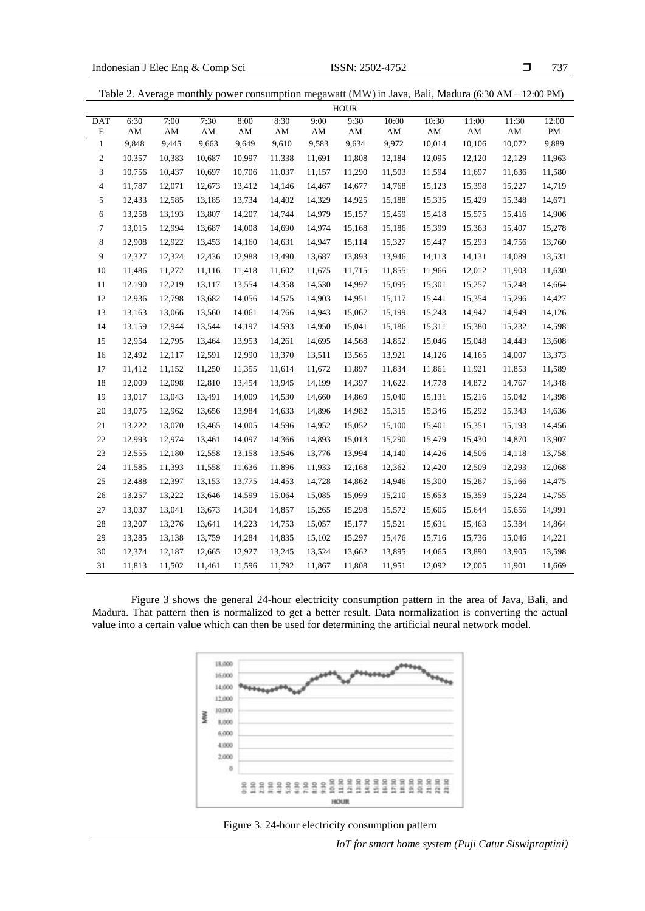737

| Table 2. Average monthly power consumption megawatt (MW) in Java, Bali, Madura (6:30 AM – 12:00 PM) |  |
|-----------------------------------------------------------------------------------------------------|--|
|-----------------------------------------------------------------------------------------------------|--|

|                  | <b>HOUR</b> |        |        |        |        |        |        |        |        |        |        |        |
|------------------|-------------|--------|--------|--------|--------|--------|--------|--------|--------|--------|--------|--------|
| <b>DAT</b>       | 6:30        | 7:00   | 7:30   | 8:00   | 8:30   | 9:00   | 9:30   | 10:00  | 10:30  | 11:00  | 11:30  | 12:00  |
| E                | AM          | AM     | AM     | AM     | AM     | AM     | AM     | AM     | AΜ     | AM     | AM     | PM     |
| $\mathbf{1}$     | 9,848       | 9,445  | 9,663  | 9,649  | 9,610  | 9,583  | 9,634  | 9,972  | 10,014 | 10,106 | 10,072 | 9,889  |
| $\boldsymbol{2}$ | 10,357      | 10,383 | 10,687 | 10,997 | 11,338 | 11,691 | 11,808 | 12,184 | 12,095 | 12,120 | 12,129 | 11,963 |
| 3                | 10,756      | 10,437 | 10,697 | 10,706 | 11,037 | 11,157 | 11,290 | 11,503 | 11,594 | 11,697 | 11,636 | 11,580 |
| 4                | 11,787      | 12,071 | 12,673 | 13,412 | 14,146 | 14,467 | 14,677 | 14,768 | 15,123 | 15,398 | 15,227 | 14,719 |
| 5                | 12,433      | 12,585 | 13,185 | 13,734 | 14,402 | 14,329 | 14,925 | 15,188 | 15,335 | 15,429 | 15,348 | 14,671 |
| 6                | 13,258      | 13,193 | 13,807 | 14,207 | 14,744 | 14,979 | 15,157 | 15,459 | 15,418 | 15,575 | 15,416 | 14,906 |
| 7                | 13,015      | 12,994 | 13,687 | 14,008 | 14,690 | 14,974 | 15,168 | 15,186 | 15,399 | 15,363 | 15,407 | 15,278 |
| 8                | 12,908      | 12,922 | 13,453 | 14,160 | 14,631 | 14,947 | 15,114 | 15,327 | 15,447 | 15,293 | 14,756 | 13,760 |
| 9                | 12,327      | 12,324 | 12,436 | 12,988 | 13,490 | 13,687 | 13,893 | 13,946 | 14,113 | 14,131 | 14,089 | 13,531 |
| 10               | 11,486      | 11,272 | 11,116 | 11,418 | 11,602 | 11,675 | 11,715 | 11,855 | 11,966 | 12,012 | 11,903 | 11,630 |
| 11               | 12,190      | 12,219 | 13,117 | 13,554 | 14,358 | 14,530 | 14,997 | 15,095 | 15,301 | 15,257 | 15,248 | 14,664 |
| 12               | 12,936      | 12,798 | 13,682 | 14,056 | 14,575 | 14,903 | 14,951 | 15,117 | 15,441 | 15,354 | 15,296 | 14,427 |
| 13               | 13,163      | 13,066 | 13,560 | 14,061 | 14,766 | 14,943 | 15,067 | 15,199 | 15,243 | 14,947 | 14,949 | 14,126 |
| 14               | 13,159      | 12,944 | 13,544 | 14,197 | 14,593 | 14,950 | 15,041 | 15,186 | 15,311 | 15,380 | 15,232 | 14,598 |
| 15               | 12,954      | 12,795 | 13,464 | 13,953 | 14,261 | 14,695 | 14,568 | 14,852 | 15,046 | 15,048 | 14,443 | 13,608 |
| 16               | 12,492      | 12,117 | 12,591 | 12,990 | 13,370 | 13,511 | 13,565 | 13,921 | 14,126 | 14,165 | 14,007 | 13,373 |
| 17               | 11,412      | 11,152 | 11,250 | 11,355 | 11,614 | 11,672 | 11,897 | 11,834 | 11,861 | 11,921 | 11,853 | 11,589 |
| 18               | 12,009      | 12,098 | 12,810 | 13,454 | 13,945 | 14,199 | 14,397 | 14,622 | 14,778 | 14,872 | 14,767 | 14,348 |
| 19               | 13,017      | 13,043 | 13,491 | 14,009 | 14,530 | 14,660 | 14,869 | 15,040 | 15,131 | 15,216 | 15,042 | 14,398 |
| 20               | 13,075      | 12,962 | 13,656 | 13,984 | 14,633 | 14,896 | 14,982 | 15,315 | 15,346 | 15,292 | 15,343 | 14,636 |
| 21               | 13,222      | 13,070 | 13,465 | 14,005 | 14,596 | 14,952 | 15,052 | 15,100 | 15,401 | 15,351 | 15,193 | 14,456 |
| 22               | 12,993      | 12,974 | 13,461 | 14,097 | 14,366 | 14,893 | 15,013 | 15,290 | 15,479 | 15,430 | 14,870 | 13,907 |
| 23               | 12,555      | 12,180 | 12,558 | 13,158 | 13,546 | 13,776 | 13,994 | 14,140 | 14,426 | 14,506 | 14,118 | 13,758 |
| 24               | 11,585      | 11,393 | 11,558 | 11,636 | 11,896 | 11,933 | 12,168 | 12,362 | 12,420 | 12,509 | 12,293 | 12,068 |
| 25               | 12,488      | 12,397 | 13,153 | 13,775 | 14,453 | 14,728 | 14,862 | 14,946 | 15,300 | 15,267 | 15,166 | 14,475 |
| $26\,$           | 13,257      | 13,222 | 13,646 | 14,599 | 15,064 | 15,085 | 15,099 | 15,210 | 15,653 | 15,359 | 15,224 | 14,755 |
| 27               | 13,037      | 13,041 | 13,673 | 14,304 | 14,857 | 15,265 | 15,298 | 15,572 | 15,605 | 15,644 | 15,656 | 14,991 |
| 28               | 13,207      | 13,276 | 13,641 | 14,223 | 14,753 | 15,057 | 15,177 | 15,521 | 15,631 | 15,463 | 15,384 | 14,864 |
| 29               | 13,285      | 13,138 | 13,759 | 14,284 | 14,835 | 15,102 | 15,297 | 15,476 | 15,716 | 15,736 | 15,046 | 14,221 |
| 30               | 12,374      | 12,187 | 12,665 | 12,927 | 13,245 | 13,524 | 13,662 | 13,895 | 14,065 | 13,890 | 13,905 | 13,598 |
| 31               | 11,813      | 11,502 | 11,461 | 11,596 | 11,792 | 11,867 | 11,808 | 11,951 | 12,092 | 12,005 | 11,901 | 11,669 |

Figure 3 shows the general 24-hour electricity consumption pattern in the area of Java, Bali, and Madura. That pattern then is normalized to get a better result. Data normalization is converting the actual value into a certain value which can then be used for determining the artificial neural network model.





*IoT for smart home system (Puji Catur Siswipraptini)*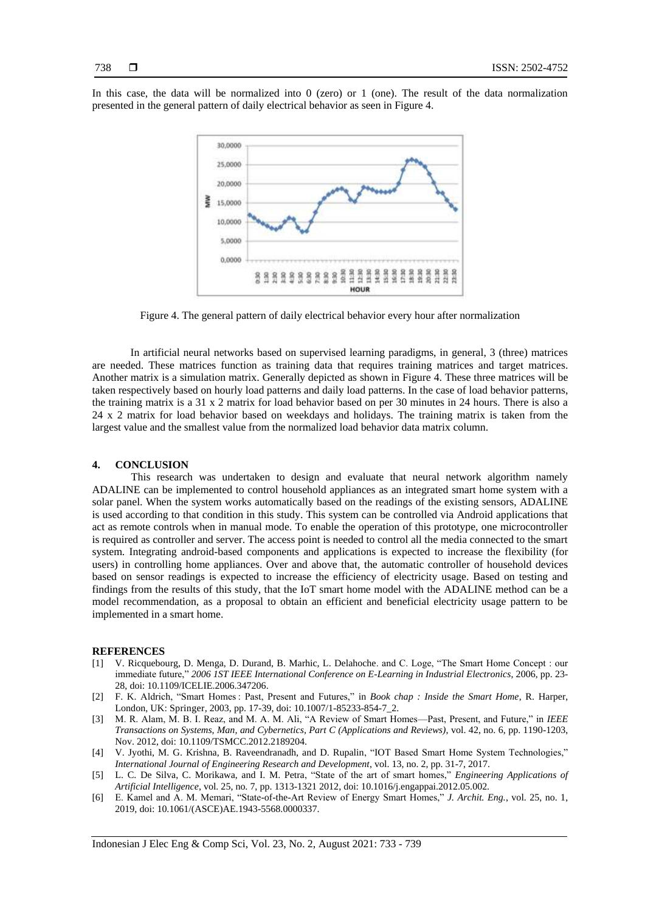In this case, the data will be normalized into 0 (zero) or 1 (one). The result of the data normalization presented in the general pattern of daily electrical behavior as seen in Figure 4.



Figure 4. The general pattern of daily electrical behavior every hour after normalization

In artificial neural networks based on supervised learning paradigms, in general, 3 (three) matrices are needed. These matrices function as training data that requires training matrices and target matrices. Another matrix is a simulation matrix. Generally depicted as shown in Figure 4. These three matrices will be taken respectively based on hourly load patterns and daily load patterns. In the case of load behavior patterns, the training matrix is a 31 x 2 matrix for load behavior based on per 30 minutes in 24 hours. There is also a 24 x 2 matrix for load behavior based on weekdays and holidays. The training matrix is taken from the largest value and the smallest value from the normalized load behavior data matrix column.

#### **4. CONCLUSION**

This research was undertaken to design and evaluate that neural network algorithm namely ADALINE can be implemented to control household appliances as an integrated smart home system with a solar panel. When the system works automatically based on the readings of the existing sensors, ADALINE is used according to that condition in this study. This system can be controlled via Android applications that act as remote controls when in manual mode. To enable the operation of this prototype, one microcontroller is required as controller and server. The access point is needed to control all the media connected to the smart system. Integrating android-based components and applications is expected to increase the flexibility (for users) in controlling home appliances. Over and above that, the automatic controller of household devices based on sensor readings is expected to increase the efficiency of electricity usage. Based on testing and findings from the results of this study, that the IoT smart home model with the ADALINE method can be a model recommendation, as a proposal to obtain an efficient and beneficial electricity usage pattern to be implemented in a smart home.

#### **REFERENCES**

- [1] V. Ricquebourg, D. Menga, D. Durand, B. Marhic, L. Delahoche. and C. Loge, "The Smart Home Concept : our immediate future," *2006 1ST IEEE International Conference on E-Learning in Industrial Electronics*, 2006, pp. 23- 28, doi: 10.1109/ICELIE.2006.347206.
- [2] F. K. Aldrich, "Smart Homes : Past, Present and Futures," in *Book chap : Inside the Smart Home*, R. Harper, London, UK: Springer, 2003, pp. 17-39, doi: 10.1007/1-85233-854-7\_2.
- [3] M. R. Alam, M. B. I. Reaz, and M. A. M. Ali, "A Review of Smart Homes—Past, Present, and Future," in *IEEE Transactions on Systems, Man, and Cybernetics, Part C (Applications and Reviews)*, vol. 42, no. 6, pp. 1190-1203, Nov. 2012, doi: 10.1109/TSMCC.2012.2189204.
- [4] V. Jyothi, M. G. Krishna, B. Raveendranadh, and D. Rupalin, "IOT Based Smart Home System Technologies," *International Journal of Engineering Research and Development*, vol. 13, no. 2, pp. 31-7, 2017.
- [5] L. C. De Silva, C. Morikawa, and I. M. Petra, "State of the art of smart homes," *Engineering Applications of Artificial Intelligence*, vol. 25, no. 7, pp. 1313-1321 2012, doi: 10.1016/j.engappai.2012.05.002.
- [6] E. Kamel and A. M. Memari, "State-of-the-Art Review of Energy Smart Homes," *J. Archit. Eng.*, vol. 25, no. 1, 2019, doi: 10.1061/(ASCE)AE.1943-5568.0000337.